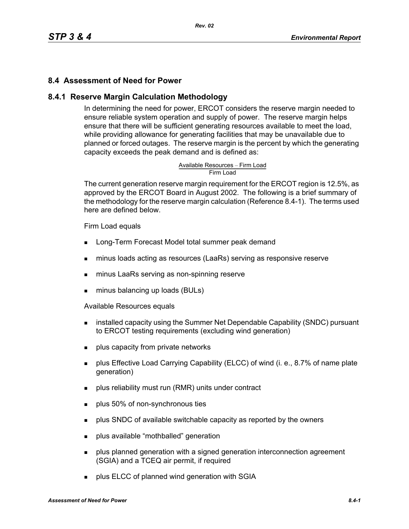# **8.4 Assessment of Need for Power**

#### **8.4.1 Reserve Margin Calculation Methodology**

In determining the need for power, ERCOT considers the reserve margin needed to ensure reliable system operation and supply of power. The reserve margin helps ensure that there will be sufficient generating resources available to meet the load, while providing allowance for generating facilities that may be unavailable due to planned or forced outages. The reserve margin is the percent by which the generating capacity exceeds the peak demand and is defined as:

# Available Resources – Firm Load<br>Firm Load

The current generation reserve margin requirement for the ERCOT region is 12.5%, as approved by the ERCOT Board in August 2002. The following is a brief summary of the methodology for the reserve margin calculation (Reference 8.4-1). The terms used here are defined below.

#### Firm Load equals

- **Long-Term Forecast Model total summer peak demand**
- minus loads acting as resources (LaaRs) serving as responsive reserve
- minus LaaRs serving as non-spinning reserve
- minus balancing up loads (BULs)

Available Resources equals

- **EXECT** installed capacity using the Summer Net Dependable Capability (SNDC) pursuant to ERCOT testing requirements (excluding wind generation)
- **plus capacity from private networks**
- plus Effective Load Carrying Capability (ELCC) of wind (i. e., 8.7% of name plate generation)
- plus reliability must run (RMR) units under contract
- **plus 50% of non-synchronous ties**
- **Propelled SNDC** of available switchable capacity as reported by the owners
- **plus available "mothballed" generation**
- **Proplus planned generation with a signed generation interconnection agreement** (SGIA) and a TCEQ air permit, if required
- **plus ELCC of planned wind generation with SGIA**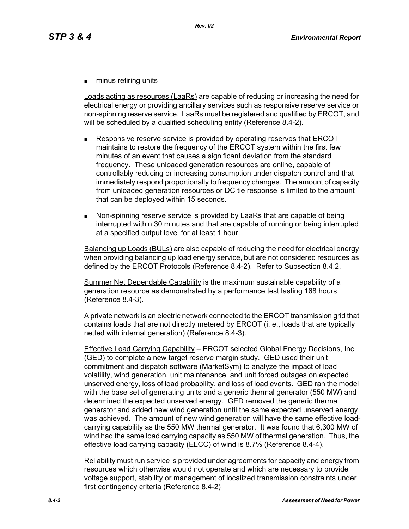**numinus retiring units** 

Loads acting as resources (LaaRs) are capable of reducing or increasing the need for electrical energy or providing ancillary services such as responsive reserve service or non-spinning reserve service. LaaRs must be registered and qualified by ERCOT, and will be scheduled by a qualified scheduling entity (Reference 8.4-2).

- Responsive reserve service is provided by operating reserves that ERCOT maintains to restore the frequency of the ERCOT system within the first few minutes of an event that causes a significant deviation from the standard frequency. These unloaded generation resources are online, capable of controllably reducing or increasing consumption under dispatch control and that immediately respond proportionally to frequency changes. The amount of capacity from unloaded generation resources or DC tie response is limited to the amount that can be deployed within 15 seconds.
- Non-spinning reserve service is provided by LaaRs that are capable of being interrupted within 30 minutes and that are capable of running or being interrupted at a specified output level for at least 1 hour.

Balancing up Loads (BULs) are also capable of reducing the need for electrical energy when providing balancing up load energy service, but are not considered resources as defined by the ERCOT Protocols (Reference 8.4-2). Refer to Subsection 8.4.2.

Summer Net Dependable Capability is the maximum sustainable capability of a generation resource as demonstrated by a performance test lasting 168 hours (Reference 8.4-3).

A private network is an electric network connected to the ERCOT transmission grid that contains loads that are not directly metered by ERCOT (i. e., loads that are typically netted with internal generation) (Reference 8.4-3).

Effective Load Carrying Capability – ERCOT selected Global Energy Decisions, Inc. (GED) to complete a new target reserve margin study. GED used their unit commitment and dispatch software (MarketSym) to analyze the impact of load volatility, wind generation, unit maintenance, and unit forced outages on expected unserved energy, loss of load probability, and loss of load events. GED ran the model with the base set of generating units and a generic thermal generator (550 MW) and determined the expected unserved energy. GED removed the generic thermal generator and added new wind generation until the same expected unserved energy was achieved. The amount of new wind generation will have the same effective loadcarrying capability as the 550 MW thermal generator. It was found that 6,300 MW of wind had the same load carrying capacity as 550 MW of thermal generation. Thus, the effective load carrying capacity (ELCC) of wind is 8.7% (Reference 8.4-4).

Reliability must run service is provided under agreements for capacity and energy from resources which otherwise would not operate and which are necessary to provide voltage support, stability or management of localized transmission constraints under first contingency criteria (Reference 8.4-2)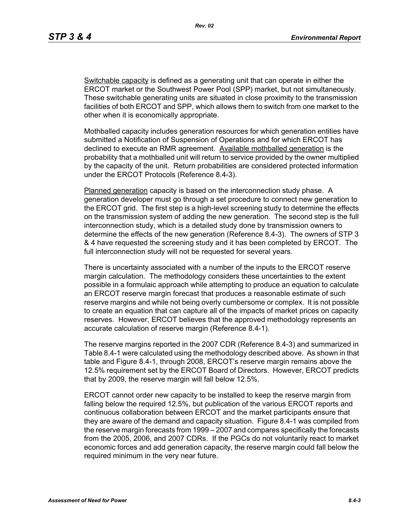*Rev. 02*

Switchable capacity is defined as a generating unit that can operate in either the ERCOT market or the Southwest Power Pool (SPP) market, but not simultaneously. These switchable generating units are situated in close proximity to the transmission facilities of both ERCOT and SPP, which allows them to switch from one market to the other when it is economically appropriate.

Mothballed capacity includes generation resources for which generation entities have submitted a Notification of Suspension of Operations and for which ERCOT has declined to execute an RMR agreement. Available mothballed generation is the probability that a mothballed unit will return to service provided by the owner multiplied by the capacity of the unit. Return probabilities are considered protected information under the ERCOT Protocols (Reference 8.4-3).

Planned generation capacity is based on the interconnection study phase. A generation developer must go through a set procedure to connect new generation to the ERCOT grid. The first step is a high-level screening study to determine the effects on the transmission system of adding the new generation. The second step is the full interconnection study, which is a detailed study done by transmission owners to determine the effects of the new generation (Reference 8.4-3). The owners of STP 3 & 4 have requested the screening study and it has been completed by ERCOT. The full interconnection study will not be requested for several years.

There is uncertainty associated with a number of the inputs to the ERCOT reserve margin calculation. The methodology considers these uncertainties to the extent possible in a formulaic approach while attempting to produce an equation to calculate an ERCOT reserve margin forecast that produces a reasonable estimate of such reserve margins and while not being overly cumbersome or complex. It is not possible to create an equation that can capture all of the impacts of market prices on capacity reserves. However, ERCOT believes that the approved methodology represents an accurate calculation of reserve margin (Reference 8.4-1).

The reserve margins reported in the 2007 CDR (Reference 8.4-3) and summarized in Table 8.4-1 were calculated using the methodology described above. As shown in that table and Figure 8.4-1, through 2008, ERCOT's reserve margin remains above the 12.5% requirement set by the ERCOT Board of Directors. However, ERCOT predicts that by 2009, the reserve margin will fall below 12.5%.

ERCOT cannot order new capacity to be installed to keep the reserve margin from falling below the required 12.5%, but publication of the various ERCOT reports and continuous collaboration between ERCOT and the market participants ensure that they are aware of the demand and capacity situation. Figure 8.4-1 was compiled from the reserve margin forecasts from 1999 – 2007 and compares specifically the forecasts from the 2005, 2006, and 2007 CDRs. If the PGCs do not voluntarily react to market economic forces and add generation capacity, the reserve margin could fall below the required minimum in the very near future.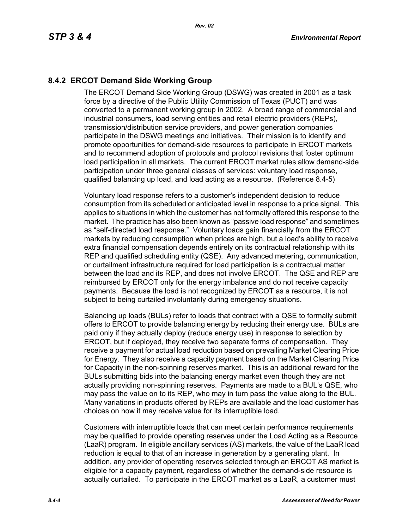# **8.4.2 ERCOT Demand Side Working Group**

The ERCOT Demand Side Working Group (DSWG) was created in 2001 as a task force by a directive of the Public Utility Commission of Texas (PUCT) and was converted to a permanent working group in 2002. A broad range of commercial and industrial consumers, load serving entities and retail electric providers (REPs), transmission/distribution service providers, and power generation companies participate in the DSWG meetings and initiatives. Their mission is to identify and promote opportunities for demand-side resources to participate in ERCOT markets and to recommend adoption of protocols and protocol revisions that foster optimum load participation in all markets. The current ERCOT market rules allow demand-side participation under three general classes of services: voluntary load response, qualified balancing up load, and load acting as a resource. (Reference 8.4-5)

Voluntary load response refers to a customer's independent decision to reduce consumption from its scheduled or anticipated level in response to a price signal. This applies to situations in which the customer has not formally offered this response to the market. The practice has also been known as "passive load response" and sometimes as "self-directed load response." Voluntary loads gain financially from the ERCOT markets by reducing consumption when prices are high, but a load's ability to receive extra financial compensation depends entirely on its contractual relationship with its REP and qualified scheduling entity (QSE). Any advanced metering, communication, or curtailment infrastructure required for load participation is a contractual matter between the load and its REP, and does not involve ERCOT. The QSE and REP are reimbursed by ERCOT only for the energy imbalance and do not receive capacity payments. Because the load is not recognized by ERCOT as a resource, it is not subject to being curtailed involuntarily during emergency situations.

Balancing up loads (BULs) refer to loads that contract with a QSE to formally submit offers to ERCOT to provide balancing energy by reducing their energy use. BULs are paid only if they actually deploy (reduce energy use) in response to selection by ERCOT, but if deployed, they receive two separate forms of compensation. They receive a payment for actual load reduction based on prevailing Market Clearing Price for Energy. They also receive a capacity payment based on the Market Clearing Price for Capacity in the non-spinning reserves market. This is an additional reward for the BULs submitting bids into the balancing energy market even though they are not actually providing non-spinning reserves. Payments are made to a BUL's QSE, who may pass the value on to its REP, who may in turn pass the value along to the BUL. Many variations in products offered by REPs are available and the load customer has choices on how it may receive value for its interruptible load.

Customers with interruptible loads that can meet certain performance requirements may be qualified to provide operating reserves under the Load Acting as a Resource (LaaR) program. In eligible ancillary services (AS) markets, the value of the LaaR load reduction is equal to that of an increase in generation by a generating plant. In addition, any provider of operating reserves selected through an ERCOT AS market is eligible for a capacity payment, regardless of whether the demand-side resource is actually curtailed. To participate in the ERCOT market as a LaaR, a customer must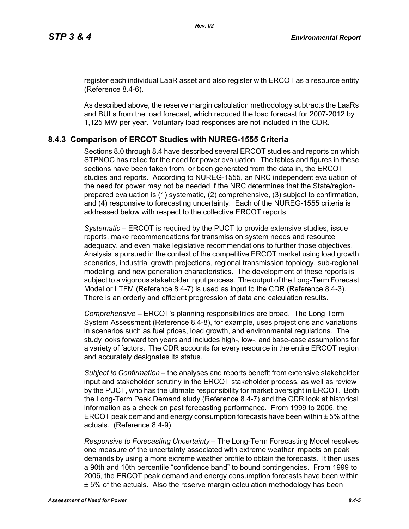[register each individual LaaR asset and also register with ERCOT as a resource entity](http://www.ercot.com/services/rq/re/index.html)  (Reference 8.4-6).

As described above, the reserve margin calculation methodology subtracts the LaaRs and BULs from the load forecast, which reduced the load forecast for 2007-2012 by 1,125 MW per year. Voluntary load responses are not included in the CDR.

## **8.4.3 Comparison of ERCOT Studies with NUREG-1555 Criteria**

Sections 8.0 through 8.4 have described several ERCOT studies and reports on which STPNOC has relied for the need for power evaluation. The tables and figures in these sections have been taken from, or been generated from the data in, the ERCOT studies and reports. According to NUREG-1555, an NRC independent evaluation of the need for power may not be needed if the NRC determines that the State/regionprepared evaluation is (1) systematic, (2) comprehensive, (3) subject to confirmation, and (4) responsive to forecasting uncertainty. Each of the NUREG-1555 criteria is addressed below with respect to the collective ERCOT reports.

*Systematic* – ERCOT is required by the PUCT to provide extensive studies, issue reports, make recommendations for transmission system needs and resource adequacy, and even make legislative recommendations to further those objectives. Analysis is pursued in the context of the competitive ERCOT market using load growth scenarios, industrial growth projections, regional transmission topology, sub-regional modeling, and new generation characteristics. The development of these reports is subject to a vigorous stakeholder input process. The output of the Long-Term Forecast Model or LTFM (Reference 8.4-7) is used as input to the CDR (Reference 8.4-3). There is an orderly and efficient progression of data and calculation results.

*Comprehensive* – ERCOT's planning responsibilities are broad. The Long Term System Assessment (Reference 8.4-8), for example, uses projections and variations in scenarios such as fuel prices, load growth, and environmental regulations. The study looks forward ten years and includes high-, low-, and base-case assumptions for a variety of factors. The CDR accounts for every resource in the entire ERCOT region and accurately designates its status.

*Subject to Confirmation* – the analyses and reports benefit from extensive stakeholder input and stakeholder scrutiny in the ERCOT stakeholder process, as well as review by the PUCT, who has the ultimate responsibility for market oversight in ERCOT. Both the Long-Term Peak Demand study (Reference 8.4-7) and the CDR look at historical information as a check on past forecasting performance. From 1999 to 2006, the ERCOT peak demand and energy consumption forecasts have been within ± 5% of the actuals. (Reference 8.4-9)

*Responsive to Forecasting Uncertainty* – The Long-Term Forecasting Model resolves one measure of the uncertainty associated with extreme weather impacts on peak demands by using a more extreme weather profile to obtain the forecasts. It then uses a 90th and 10th percentile "confidence band" to bound contingencies. From 1999 to 2006, the ERCOT peak demand and energy consumption forecasts have been within ± 5% of the actuals. Also the reserve margin calculation methodology has been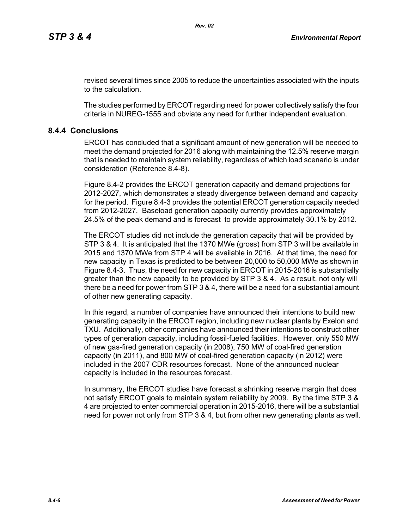revised several times since 2005 to reduce the uncertainties associated with the inputs to the calculation.

The studies performed by ERCOT regarding need for power collectively satisfy the four criteria in NUREG-1555 and obviate any need for further independent evaluation.

# **8.4.4 Conclusions**

ERCOT has concluded that a significant amount of new generation will be needed to meet the demand projected for 2016 along with maintaining the 12.5% reserve margin that is needed to maintain system reliability, regardless of which load scenario is under consideration (Reference 8.4-8).

Figure 8.4-2 provides the ERCOT generation capacity and demand projections for 2012-2027, which demonstrates a steady divergence between demand and capacity for the period. Figure 8.4-3 provides the potential ERCOT generation capacity needed from 2012-2027. Baseload generation capacity currently provides approximately 24.5% of the peak demand and is forecast to provide approximately 30.1% by 2012.

The ERCOT studies did not include the generation capacity that will be provided by STP 3 & 4. It is anticipated that the 1370 MWe (gross) from STP 3 will be available in 2015 and 1370 MWe from STP 4 will be available in 2016. At that time, the need for new capacity in Texas is predicted to be between 20,000 to 50,000 MWe as shown in Figure 8.4-3. Thus, the need for new capacity in ERCOT in 2015-2016 is substantially greater than the new capacity to be provided by STP 3 & 4. As a result, not only will there be a need for power from STP 3 & 4, there will be a need for a substantial amount of other new generating capacity.

In this regard, a number of companies have announced their intentions to build new generating capacity in the ERCOT region, including new nuclear plants by Exelon and TXU. Additionally, other companies have announced their intentions to construct other types of generation capacity, including fossil-fueled facilities. However, only 550 MW of new gas-fired generation capacity (in 2008), 750 MW of coal-fired generation capacity (in 2011), and 800 MW of coal-fired generation capacity (in 2012) were included in the 2007 CDR resources forecast. None of the announced nuclear capacity is included in the resources forecast.

In summary, the ERCOT studies have forecast a shrinking reserve margin that does not satisfy ERCOT goals to maintain system reliability by 2009. By the time STP 3 & 4 are projected to enter commercial operation in 2015-2016, there will be a substantial need for power not only from STP 3 & 4, but from other new generating plants as well.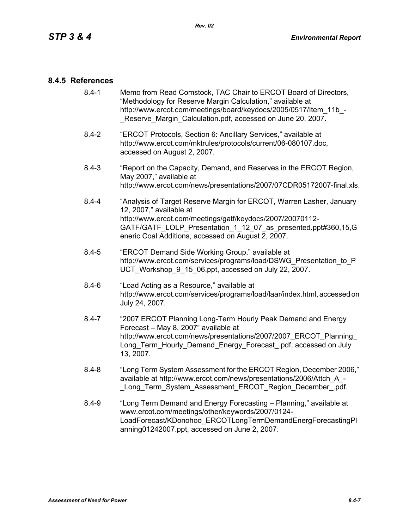## **8.4.5 References**

- [8.4-1 Memo from Read Comstock, TAC Chair to ERCOT Board of Directors,](http://www.ercot.com/meetings/board/keydocs/2005/0517/Item_11b_-_Reserve_Margin_Calculation.pdf)  "Methodology for Reserve Margin Calculation," available at http://www.ercot.com/meetings/board/keydocs/2005/0517/Item\_11b\_-Reserve Margin Calculation.pdf, accessed on June 20, 2007.
- [8.4-2 "ERCOT Protocols, Section 6: Ancillary Services," available at](http://www.ercot.com/mktrules/protocols/current/06-080107.doc)  http://www.ercot.com/mktrules/protocols/current/06-080107.doc, accessed on August 2, 2007.
- 8.4-3 "Report on the Capacity, Demand, and Reserves in the ERCOT Region, May 2007," available at http://www.ercot.com/news/presentations/2007/07CDR05172007-final.xls.
- 8.4-4 "Analysis of Target Reserve Margin for ERCOT, Warren Lasher, January 12, 2007," available at http://www.ercot.com/meetings/gatf/keydocs/2007/20070112- GATF/GATF\_LOLP\_Presentation\_1\_12\_07\_as\_presented.ppt#360,15,G eneric Coal Additions, accessed on August 2, 2007.
- 8.4-5 "ERCOT Demand Side Working Group," available at [http://www.ercot.com/services/programs/load/DSWG\\_Presentation\\_to\\_P](http://www.ercot.com/services/programs/load/DSWG_Presentation_to_PUCT_Workshop_9_15_06.ppt) UCT\_Workshop\_9\_15\_06.ppt, accessed on July 22, 2007.
- 8.4-6 "Load Acting as a Resource," available at [http://www.ercot.com/services/programs/load/laar/index.html, accessed on](http://www.ercot.com/services/programs/load/laar/index.html)  July 24, 2007.
- [8.4-7 "2007 ERCOT Planning Long-Term Hourly Peak Demand and Energy](http://www.ercot.com/news/presentations/2007/2007_ERCOT_Planning_Long_Term_Hourly_Demand_Energy_Forecast_.pdf)  Forecast – May 8, 2007" available at http://www.ercot.com/news/presentations/2007/2007\_ERCOT\_Planning Long Term Hourly Demand Energy Forecast .pdf, accessed on July 13, 2007.
- 8.4-8 "Long Term System Assessment for the ERCOT Region, December 2006," available at http://www.ercot.com/news/presentations/2006/Attch\_A\_- Long Term System Assessment ERCOT Region December .pdf.
- 8.4-9 ["Long Term Demand and Energy Forecasting Planning," available at](http://www.ercot.com/meetings/other/keywords/2007/0124-LoadForecast/KDonohoo_ERCOTLongTermDemandEnergForecastingPlanning01242007.ppt)  www.ercot.com/meetings/other/keywords/2007/0124- [LoadForecast/KDonohoo\\_ERCOTLongTermDemandEnergForecastingPl](http://www.ercot.com/meetings/other/keywords/2007/0124-LoadForecast/KDonohoo_ERCOTLongTermDemandEnergForecastingPlanning01242007.ppt) [anning01242007.ppt, accessed on June 2, 2007.](http://www.ercot.com/meetings/other/keywords/2007/0124-LoadForecast/KDonohoo_ERCOTLongTermDemandEnergForecastingPlanning01242007.ppt)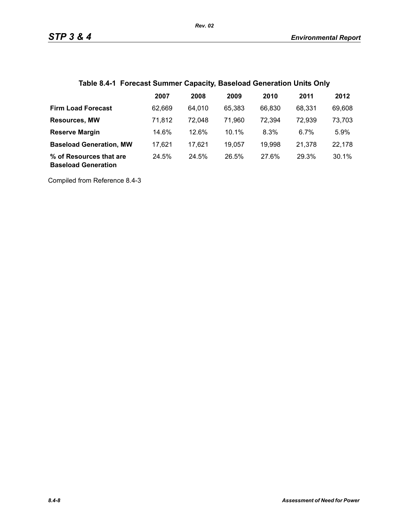# **Table 8.4-1 Forecast Summer Capacity, Baseload Generation Units Only**

|                                                       | 2007   | 2008   | 2009   | 2010   | 2011   | 2012   |
|-------------------------------------------------------|--------|--------|--------|--------|--------|--------|
| <b>Firm Load Forecast</b>                             | 62.669 | 64,010 | 65.383 | 66,830 | 68.331 | 69,608 |
| <b>Resources, MW</b>                                  | 71,812 | 72,048 | 71,960 | 72,394 | 72,939 | 73,703 |
| <b>Reserve Margin</b>                                 | 14.6%  | 12.6%  | 10.1%  | 8.3%   | 6.7%   | 5.9%   |
| <b>Baseload Generation, MW</b>                        | 17.621 | 17.621 | 19,057 | 19,998 | 21,378 | 22,178 |
| % of Resources that are<br><b>Baseload Generation</b> | 24.5%  | 24.5%  | 26.5%  | 27.6%  | 29.3%  | 30.1%  |

Compiled from Reference 8.4-3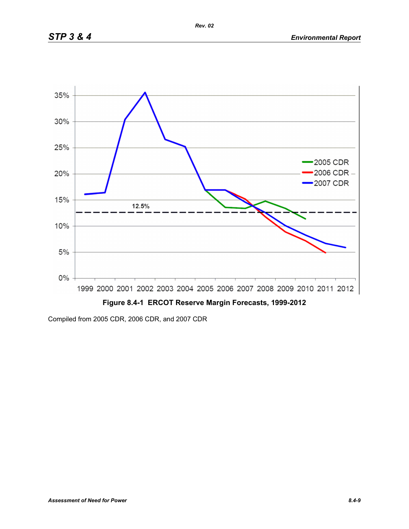

Compiled from 2005 CDR, 2006 CDR, and 2007 CDR

*Rev. 02*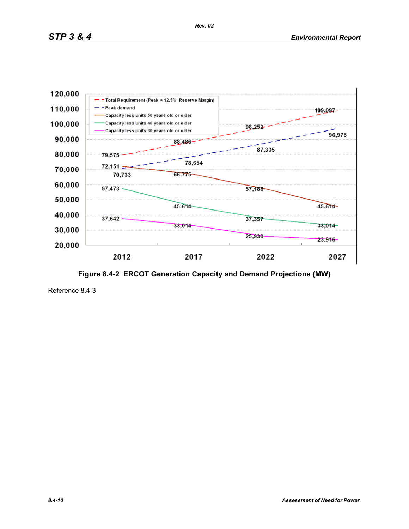

**Figure 8.4-2 ERCOT Generation Capacity and Demand Projections (MW)**

Reference 8.4-3